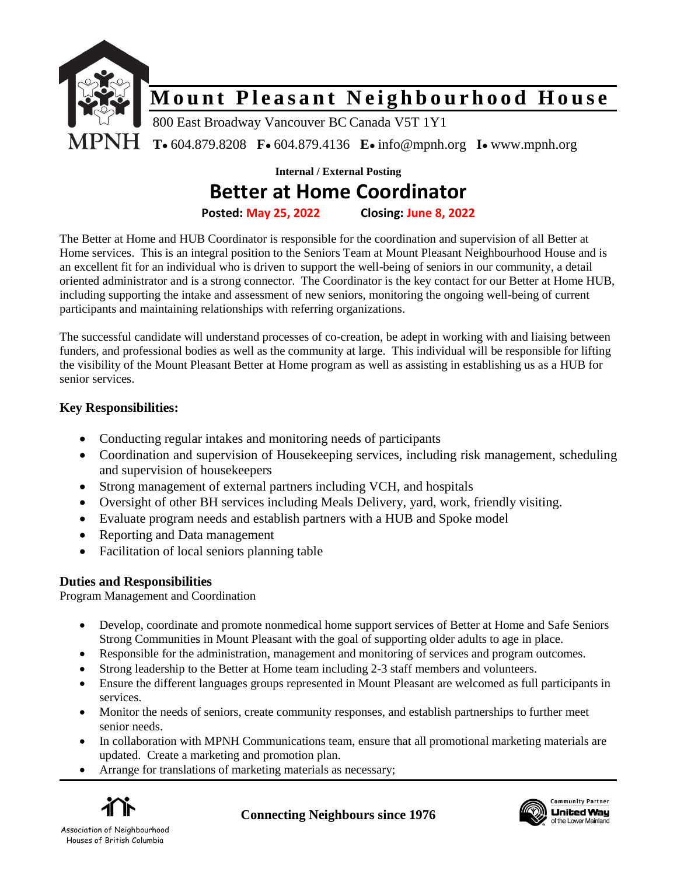

**Internal / External Posting**

## **Better at Home Coordinator**

**Posted: May 25, 2022 Closing: June 8, 2022**

The Better at Home and HUB Coordinator is responsible for the coordination and supervision of all Better at Home services. This is an integral position to the Seniors Team at Mount Pleasant Neighbourhood House and is an excellent fit for an individual who is driven to support the well-being of seniors in our community, a detail oriented administrator and is a strong connector. The Coordinator is the key contact for our Better at Home HUB, including supporting the intake and assessment of new seniors, monitoring the ongoing well-being of current participants and maintaining relationships with referring organizations.

The successful candidate will understand processes of co-creation, be adept in working with and liaising between funders, and professional bodies as well as the community at large. This individual will be responsible for lifting the visibility of the Mount Pleasant Better at Home program as well as assisting in establishing us as a HUB for senior services.

### **Key Responsibilities:**

- Conducting regular intakes and monitoring needs of participants
- Coordination and supervision of Housekeeping services, including risk management, scheduling and supervision of housekeepers
- Strong management of external partners including VCH, and hospitals
- Oversight of other BH services including Meals Delivery, yard, work, friendly visiting.
- Evaluate program needs and establish partners with a HUB and Spoke model
- Reporting and Data management
- Facilitation of local seniors planning table

## **Duties and Responsibilities**

Program Management and Coordination

- Develop, coordinate and promote nonmedical home support services of Better at Home and Safe Seniors Strong Communities in Mount Pleasant with the goal of supporting older adults to age in place.
- Responsible for the administration, management and monitoring of services and program outcomes.
- Strong leadership to the Better at Home team including 2-3 staff members and volunteers.
- Ensure the different languages groups represented in Mount Pleasant are welcomed as full participants in services.
- Monitor the needs of seniors, create community responses, and establish partnerships to further meet senior needs.
- In collaboration with MPNH Communications team, ensure that all promotional marketing materials are updated. Create a marketing and promotion plan.
- Arrange for translations of marketing materials as necessary;



**Connecting Neighbours since 1976**